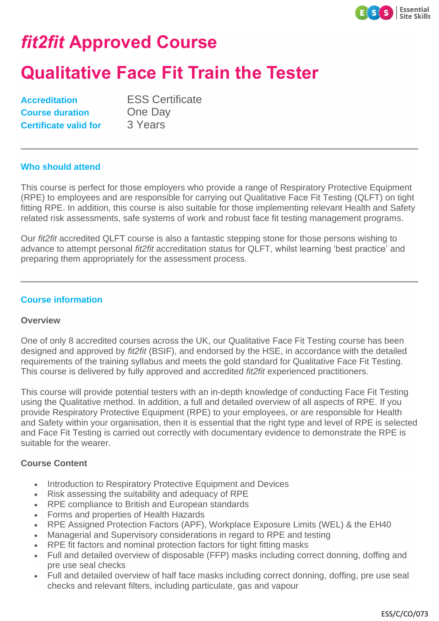

# *fit2fit* **Approved Course**

## **Qualitative Face Fit Train the Tester**

| <b>Accreditation</b>         |
|------------------------------|
| <b>Course duration</b>       |
| <b>Certificate valid for</b> |

**ESS Certificate Cone Day 3 Years** 

#### **Who should attend**

This course is perfect for those employers who provide a range of Respiratory Protective Equipment (RPE) to employees and are responsible for carrying out Qualitative Face Fit Testing (QLFT) on tight fitting RPE. In addition, this course is also suitable for those implementing relevant Health and Safety related risk assessments, safe systems of work and robust face fit testing management programs.

Our *fit2fit* accredited QLFT course is also a fantastic stepping stone for those persons wishing to advance to attempt personal *fit2fit* accreditation status for QLFT, whilst learning 'best practice' and preparing them appropriately for the assessment process.

### **Course information**

#### **Overview**

One of only 8 accredited courses across the UK, our Qualitative Face Fit Testing course has been designed and approved by *fit2fit* (BSIF), and endorsed by the HSE, in accordance with the detailed requirements of the training syllabus and meets the gold standard for Qualitative Face Fit Testing. This course is delivered by fully approved and accredited *fit2fit* experienced practitioners.

This course will provide potential testers with an in-depth knowledge of conducting Face Fit Testing using the Qualitative method. In addition, a full and detailed overview of all aspects of RPE. If you provide Respiratory Protective Equipment (RPE) to your employees, or are responsible for Health and Safety within your organisation, then it is essential that the right type and level of RPE is selected and Face Fit Testing is carried out correctly with documentary evidence to demonstrate the RPE is suitable for the wearer.

#### **Course Content**

- Introduction to Respiratory Protective Equipment and Devices
- Risk assessing the suitability and adequacy of RPE
- RPE compliance to British and European standards
- Forms and properties of Health Hazards
- RPE Assigned Protection Factors (APF), Workplace Exposure Limits (WEL) & the EH40
- Managerial and Supervisory considerations in regard to RPE and testing
- RPE fit factors and nominal protection factors for tight fitting masks
- Full and detailed overview of disposable (FFP) masks including correct donning, doffing and pre use seal checks
- Full and detailed overview of half face masks including correct donning, doffing, pre use seal
- checks and relevant filters, including particulate, gas and vapour